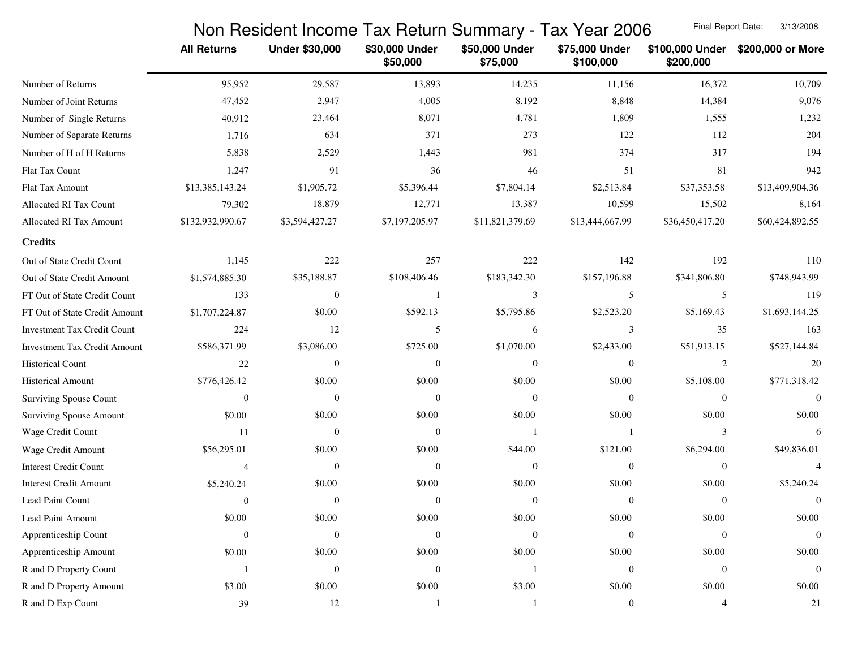## Non Resident Income Tax Return Summary - Tax Year 2006

Final Report Date: 3/13/2008

|                                     | <b>All Returns</b> | <b>Under \$30,000</b> | \$30,000 Under<br>\$50,000 | \$50,000 Under<br>\$75,000 | \$75,000 Under<br>\$100,000 | \$100,000 Under<br>\$200,000 | \$200,000 or More |
|-------------------------------------|--------------------|-----------------------|----------------------------|----------------------------|-----------------------------|------------------------------|-------------------|
| Number of Returns                   | 95,952             | 29,587                | 13,893                     | 14,235                     | 11,156                      | 16,372                       | 10,709            |
| Number of Joint Returns             | 47,452             | 2,947                 | 4,005                      | 8,192                      | 8,848                       | 14,384                       | 9,076             |
| Number of Single Returns            | 40,912             | 23,464                | 8,071                      | 4,781                      | 1,809                       | 1,555                        | 1,232             |
| Number of Separate Returns          | 1,716              | 634                   | 371                        | 273                        | 122                         | 112                          | 204               |
| Number of H of H Returns            | 5,838              | 2,529                 | 1,443                      | 981                        | 374                         | 317                          | 194               |
| Flat Tax Count                      | 1,247              | 91                    | 36                         | 46                         | 51                          | 81                           | 942               |
| Flat Tax Amount                     | \$13,385,143.24    | \$1,905.72            | \$5,396.44                 | \$7,804.14                 | \$2,513.84                  | \$37,353.58                  | \$13,409,904.36   |
| Allocated RI Tax Count              | 79,302             | 18,879                | 12,771                     | 13,387                     | 10,599                      | 15,502                       | 8,164             |
| Allocated RI Tax Amount             | \$132,932,990.67   | \$3,594,427.27        | \$7,197,205.97             | \$11,821,379.69            | \$13,444,667.99             | \$36,450,417.20              | \$60,424,892.55   |
| <b>Credits</b>                      |                    |                       |                            |                            |                             |                              |                   |
| Out of State Credit Count           | 1,145              | 222                   | 257                        | 222                        | 142                         | 192                          | 110               |
| Out of State Credit Amount          | \$1,574,885.30     | \$35,188.87           | \$108,406.46               | \$183,342.30               | \$157,196.88                | \$341,806.80                 | \$748,943.99      |
| FT Out of State Credit Count        | 133                | $\mathbf{0}$          | $\overline{1}$             | 3                          | 5                           | 5                            | 119               |
| FT Out of State Credit Amount       | \$1,707,224.87     | \$0.00                | \$592.13                   | \$5,795.86                 | \$2,523.20                  | \$5,169.43                   | \$1,693,144.25    |
| <b>Investment Tax Credit Count</b>  | 224                | 12                    | 5                          | 6                          | 3                           | 35                           | 163               |
| <b>Investment Tax Credit Amount</b> | \$586,371.99       | \$3,086.00            | \$725.00                   | \$1,070.00                 | \$2,433.00                  | \$51,913.15                  | \$527,144.84      |
| <b>Historical Count</b>             | 22                 | $\mathbf{0}$          | $\theta$                   | $\overline{0}$             | $\boldsymbol{0}$            | $\boldsymbol{2}$             | 20                |
| <b>Historical Amount</b>            | \$776,426.42       | \$0.00                | \$0.00                     | \$0.00                     | \$0.00                      | \$5,108.00                   | \$771,318.42      |
| <b>Surviving Spouse Count</b>       | $\mathbf{0}$       | $\mathbf{0}$          | $\overline{0}$             | $\overline{0}$             | $\boldsymbol{0}$            | $\theta$                     | $\overline{0}$    |
| <b>Surviving Spouse Amount</b>      | \$0.00             | \$0.00                | \$0.00                     | \$0.00                     | \$0.00                      | \$0.00                       | \$0.00            |
| Wage Credit Count                   | 11                 | $\mathbf{0}$          | $\mathbf{0}$               | -1                         | $\overline{1}$              | 3                            | 6                 |
| Wage Credit Amount                  | \$56,295.01        | \$0.00                | \$0.00                     | \$44.00                    | \$121.00                    | \$6,294.00                   | \$49,836.01       |
| <b>Interest Credit Count</b>        | $\overline{4}$     | $\overline{0}$        | $\theta$                   | $\overline{0}$             | $\boldsymbol{0}$            | $\boldsymbol{0}$             |                   |
| <b>Interest Credit Amount</b>       | \$5,240.24         | \$0.00                | \$0.00                     | \$0.00                     | \$0.00                      | \$0.00                       | \$5,240.24        |
| Lead Paint Count                    | $\mathbf{0}$       | $\mathbf{0}$          | $\theta$                   | $\Omega$                   | $\theta$                    | $\theta$                     | $\overline{0}$    |
| Lead Paint Amount                   | \$0.00             | \$0.00                | \$0.00                     | \$0.00                     | \$0.00                      | \$0.00                       | \$0.00            |
| Apprenticeship Count                | $\boldsymbol{0}$   | $\boldsymbol{0}$      | $\boldsymbol{0}$           | $\boldsymbol{0}$           | $\boldsymbol{0}$            | $\mathbf{0}$                 | $\overline{0}$    |
| Apprenticeship Amount               | \$0.00             | \$0.00                | \$0.00                     | \$0.00                     | \$0.00                      | \$0.00                       | \$0.00            |
| R and D Property Count              |                    | $\boldsymbol{0}$      | $\overline{0}$             |                            | $\boldsymbol{0}$            | $\mathbf{0}$                 | $\overline{0}$    |
| R and D Property Amount             | \$3.00             | \$0.00                | \$0.00                     | \$3.00                     | \$0.00                      | \$0.00                       | \$0.00            |
| R and D Exp Count                   | 39                 | 12                    | $\mathbf{1}$               |                            | $\boldsymbol{0}$            | 4                            | 21                |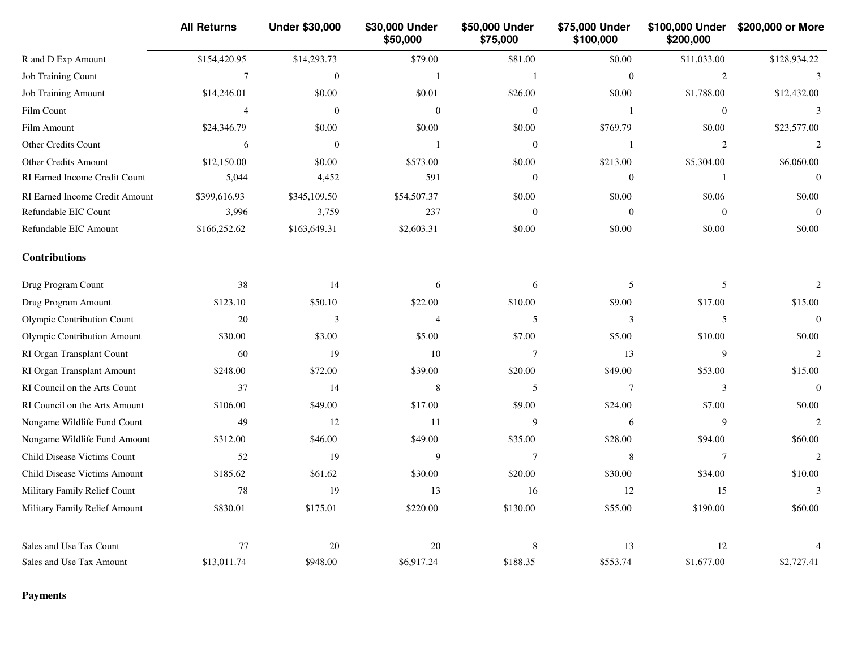|                                | <b>All Returns</b> | <b>Under \$30,000</b> | \$30,000 Under<br>\$50,000 | \$50,000 Under<br>\$75,000 | \$75,000 Under<br>\$100,000 | \$100,000 Under<br>\$200,000 | \$200,000 or More |
|--------------------------------|--------------------|-----------------------|----------------------------|----------------------------|-----------------------------|------------------------------|-------------------|
| R and D Exp Amount             | \$154,420.95       | \$14,293.73           | \$79.00                    | \$81.00                    | \$0.00                      | \$11,033.00                  | \$128,934.22      |
| Job Training Count             | $\tau$             | $\boldsymbol{0}$      | $\mathbf{1}$               | $\mathbf{1}$               | $\theta$                    | 2                            | 3                 |
| <b>Job Training Amount</b>     | \$14,246.01        | \$0.00                | \$0.01                     | \$26.00                    | \$0.00                      | \$1,788.00                   | \$12,432.00       |
| Film Count                     | $\overline{4}$     | $\mathbf{0}$          | $\mathbf{0}$               | $\mathbf{0}$               | -1                          | $\mathbf{0}$                 | 3                 |
| Film Amount                    | \$24,346.79        | \$0.00                | \$0.00                     | \$0.00                     | \$769.79                    | \$0.00                       | \$23,577.00       |
| Other Credits Count            | 6                  | $\boldsymbol{0}$      | $\mathbf{1}$               | $\boldsymbol{0}$           | $\mathbf{1}$                | $\overline{2}$               | $\overline{c}$    |
| <b>Other Credits Amount</b>    | \$12,150.00        | \$0.00                | \$573.00                   | \$0.00                     | \$213.00                    | \$5,304.00                   | \$6,060.00        |
| RI Earned Income Credit Count  | 5,044              | 4,452                 | 591                        | $\mathbf{0}$               | $\overline{0}$              | $\mathbf{1}$                 | $\Omega$          |
| RI Earned Income Credit Amount | \$399,616.93       | \$345,109.50          | \$54,507.37                | \$0.00                     | \$0.00                      | \$0.06                       | \$0.00            |
| Refundable EIC Count           | 3,996              | 3,759                 | 237                        | $\boldsymbol{0}$           | $\mathbf{0}$                | $\boldsymbol{0}$             | $\boldsymbol{0}$  |
| Refundable EIC Amount          | \$166,252.62       | \$163,649.31          | \$2,603.31                 | \$0.00                     | \$0.00                      | \$0.00                       | \$0.00            |
| <b>Contributions</b>           |                    |                       |                            |                            |                             |                              |                   |
| Drug Program Count             | 38                 | 14                    | 6                          | 6                          | 5                           | $\overline{5}$               | $\overline{c}$    |
| Drug Program Amount            | \$123.10           | \$50.10               | \$22.00                    | \$10.00                    | \$9.00                      | \$17.00                      | \$15.00           |
| Olympic Contribution Count     | 20                 | 3                     | $\overline{4}$             | 5                          | 3                           | 5                            | $\overline{0}$    |
| Olympic Contribution Amount    | \$30.00            | \$3.00                | \$5.00                     | \$7.00                     | \$5.00                      | \$10.00                      | \$0.00            |
| RI Organ Transplant Count      | 60                 | 19                    | 10                         | $\overline{7}$             | 13                          | 9                            | $\mathcal{D}$     |
| RI Organ Transplant Amount     | \$248.00           | \$72.00               | \$39.00                    | \$20.00                    | \$49.00                     | \$53.00                      | \$15.00           |
| RI Council on the Arts Count   | 37                 | 14                    | $\,$ 8 $\,$                | $\mathfrak s$              | $\overline{7}$              | $\mathfrak 3$                | $\boldsymbol{0}$  |
| RI Council on the Arts Amount  | \$106.00           | \$49.00               | \$17.00                    | \$9.00                     | \$24.00                     | \$7.00                       | \$0.00            |
| Nongame Wildlife Fund Count    | 49                 | 12                    | 11                         | 9                          | 6                           | 9                            | $\overline{2}$    |
| Nongame Wildlife Fund Amount   | \$312.00           | \$46.00               | \$49.00                    | \$35.00                    | \$28.00                     | \$94.00                      | \$60.00           |
| Child Disease Victims Count    | 52                 | 19                    | 9                          | 7                          | 8                           | 7                            | $\overline{c}$    |
| Child Disease Victims Amount   | \$185.62           | \$61.62               | \$30.00                    | \$20.00                    | \$30.00                     | \$34.00                      | \$10.00           |
| Military Family Relief Count   | $78\,$             | 19                    | 13                         | 16                         | 12                          | 15                           | $\mathfrak{Z}$    |
| Military Family Relief Amount  | \$830.01           | \$175.01              | \$220.00                   | \$130.00                   | \$55.00                     | \$190.00                     | \$60.00           |
| Sales and Use Tax Count        | 77                 | 20                    | $20\,$                     | 8                          | 13                          | 12                           |                   |
| Sales and Use Tax Amount       | \$13,011.74        | \$948.00              | \$6,917.24                 | \$188.35                   | \$553.74                    | \$1,677.00                   | \$2,727.41        |

## **Payments**